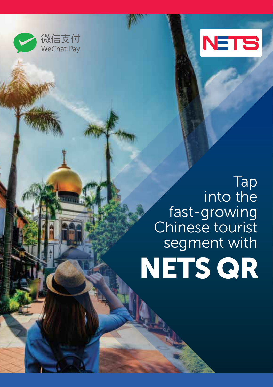



## Tap into the fast-growing Chinese tourist segment with

# NETS QR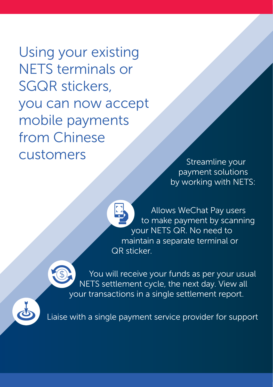Using your existing NETS terminals or SGQR stickers, you can now accept mobile payments from Chinese Customers Streamline your

payment solutions by working with NETS:

Allows WeChat Pay users to make payment by scanning your NETS QR. No need to maintain a separate terminal or QR sticker.



You will receive your funds as per your usual NETS settlement cycle, the next day. View all your transactions in a single settlement report.



Liaise with a single payment service provider for support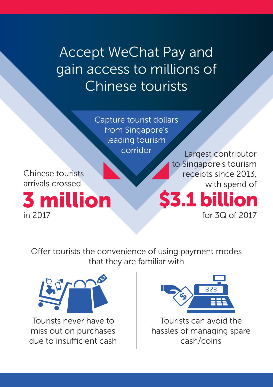Accept WeChat Pay and gain access to millions of Chinese tourists

> Capture tourist dollars from Singapore's leading tourism corridor

Chinese tourists arrivals crossed

 $\frac{3}{10}$  million  $\frac{53.1}{100}$  billion

Largest contributor to Singapore's tourism receipts since 2013, with spend of

for 3Q of 2017

Offer tourists the convenience of using payment modes that they are familiar with



Tourists never have to miss out on purchases due to insufficient cash



Tourists can avoid the hassles of managing spare cash/coins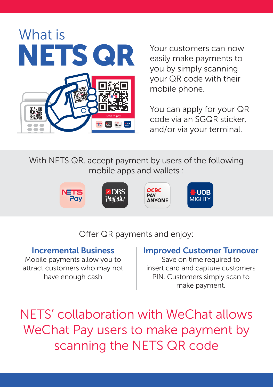

Your customers can now easily make payments to you by simply scanning your QR code with their mobile phone.

You can apply for your QR code via an SGQR sticker, and/or via your terminal.

With NETS QR, accept payment by users of the following mobile apps and wallets :



Offer QR payments and enjoy:

#### Incremental Business

Mobile payments allow you to attract customers who may not have enough cash

#### Improved Customer Turnover

Save on time required to insert card and capture customers PIN. Customers simply scan to make payment.

NETS' collaboration with WeChat allows WeChat Pay users to make payment by scanning the NETS QR code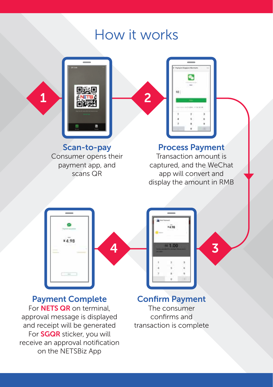### How it works



Scan-to-pay Consumer opens their payment app, and scans QR



#### Process Payment

Transaction amount is captured, and the WeChat app will convert and display the amount in RMB





Payment Complete For **NETS QR** on terminal. approval message is displayed and receipt will be generated For SGQR sticker, you will receive an approval notification on the NETSBiz App

Confirm Payment The consumer confirms and transaction is complete

 $1.78$